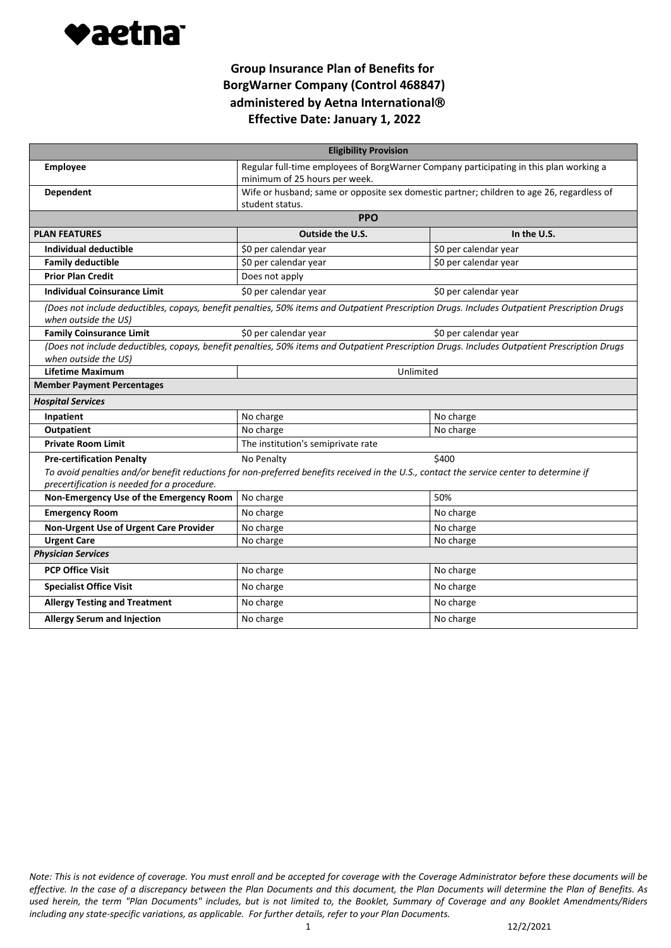

|                                                                                                                                                                                         | <b>Eligibility Provision</b>                                                                                            |                                                                                                                                               |  |  |
|-----------------------------------------------------------------------------------------------------------------------------------------------------------------------------------------|-------------------------------------------------------------------------------------------------------------------------|-----------------------------------------------------------------------------------------------------------------------------------------------|--|--|
| <b>Employee</b>                                                                                                                                                                         | Regular full-time employees of BorgWarner Company participating in this plan working a<br>minimum of 25 hours per week. |                                                                                                                                               |  |  |
| <b>Dependent</b>                                                                                                                                                                        | Wife or husband; same or opposite sex domestic partner; children to age 26, regardless of<br>student status.            |                                                                                                                                               |  |  |
| <b>PPO</b>                                                                                                                                                                              |                                                                                                                         |                                                                                                                                               |  |  |
| <b>PLAN FEATURES</b>                                                                                                                                                                    | <b>Outside the U.S.</b>                                                                                                 | In the U.S.                                                                                                                                   |  |  |
| <b>Individual deductible</b>                                                                                                                                                            | \$0 per calendar year                                                                                                   | \$0 per calendar year                                                                                                                         |  |  |
| <b>Family deductible</b>                                                                                                                                                                | \$0 per calendar year                                                                                                   | \$0 per calendar year                                                                                                                         |  |  |
| <b>Prior Plan Credit</b>                                                                                                                                                                | Does not apply                                                                                                          |                                                                                                                                               |  |  |
| <b>Individual Coinsurance Limit</b>                                                                                                                                                     | \$0 per calendar year                                                                                                   | \$0 per calendar year                                                                                                                         |  |  |
| when outside the US)                                                                                                                                                                    |                                                                                                                         | (Does not include deductibles, copays, benefit penalties, 50% items and Outpatient Prescription Drugs. Includes Outpatient Prescription Drugs |  |  |
| <b>Family Coinsurance Limit</b>                                                                                                                                                         | \$0 per calendar year                                                                                                   | \$0 per calendar year                                                                                                                         |  |  |
| (Does not include deductibles, copays, benefit penalties, 50% items and Outpatient Prescription Drugs. Includes Outpatient Prescription Drugs<br>when outside the US)                   |                                                                                                                         |                                                                                                                                               |  |  |
| <b>Lifetime Maximum</b>                                                                                                                                                                 | Unlimited                                                                                                               |                                                                                                                                               |  |  |
| <b>Member Payment Percentages</b>                                                                                                                                                       |                                                                                                                         |                                                                                                                                               |  |  |
| <b>Hospital Services</b>                                                                                                                                                                |                                                                                                                         |                                                                                                                                               |  |  |
| Inpatient                                                                                                                                                                               | No charge                                                                                                               | No charge                                                                                                                                     |  |  |
| <b>Outpatient</b>                                                                                                                                                                       | No charge                                                                                                               | No charge                                                                                                                                     |  |  |
| <b>Private Room Limit</b>                                                                                                                                                               | The institution's semiprivate rate                                                                                      |                                                                                                                                               |  |  |
| <b>Pre-certification Penalty</b>                                                                                                                                                        | No Penalty                                                                                                              | \$400                                                                                                                                         |  |  |
| To avoid penalties and/or benefit reductions for non-preferred benefits received in the U.S., contact the service center to determine if<br>precertification is needed for a procedure. |                                                                                                                         |                                                                                                                                               |  |  |
| Non-Emergency Use of the Emergency Room                                                                                                                                                 | No charge                                                                                                               | 50%                                                                                                                                           |  |  |
| <b>Emergency Room</b>                                                                                                                                                                   | No charge                                                                                                               | No charge                                                                                                                                     |  |  |
| Non-Urgent Use of Urgent Care Provider                                                                                                                                                  | No charge                                                                                                               | No charge                                                                                                                                     |  |  |
| <b>Urgent Care</b>                                                                                                                                                                      | No charge                                                                                                               | No charge                                                                                                                                     |  |  |
| <b>Physician Services</b>                                                                                                                                                               |                                                                                                                         |                                                                                                                                               |  |  |
| <b>PCP Office Visit</b>                                                                                                                                                                 | No charge                                                                                                               | No charge                                                                                                                                     |  |  |
| <b>Specialist Office Visit</b>                                                                                                                                                          | No charge                                                                                                               | No charge                                                                                                                                     |  |  |
| <b>Allergy Testing and Treatment</b>                                                                                                                                                    | No charge                                                                                                               | No charge                                                                                                                                     |  |  |
| <b>Allergy Serum and Injection</b>                                                                                                                                                      | No charge                                                                                                               | No charge                                                                                                                                     |  |  |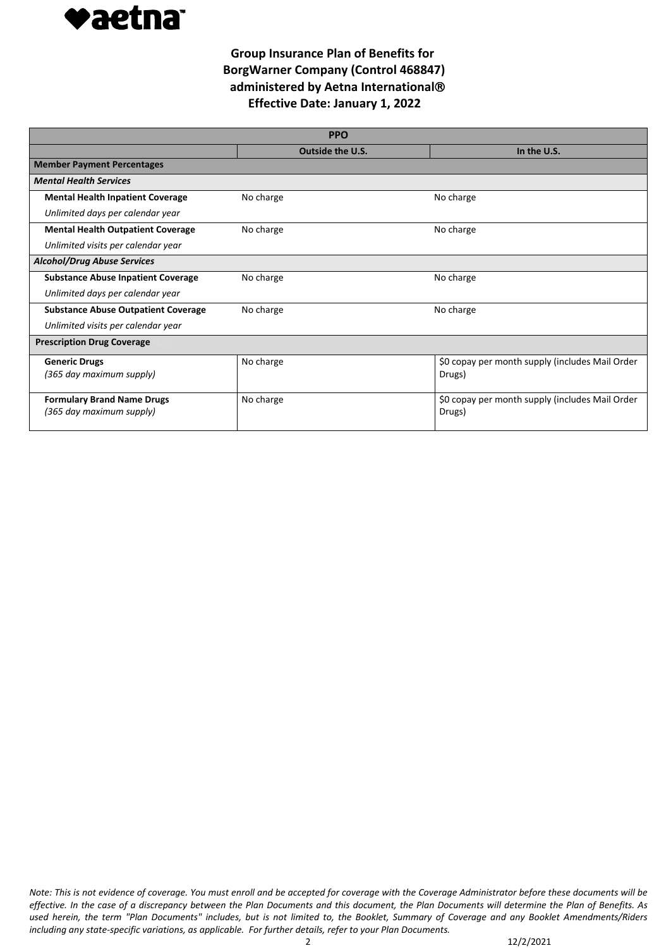

|                                            | <b>PPO</b>              |                                                 |
|--------------------------------------------|-------------------------|-------------------------------------------------|
|                                            | <b>Outside the U.S.</b> | In the U.S.                                     |
| <b>Member Payment Percentages</b>          |                         |                                                 |
| <b>Mental Health Services</b>              |                         |                                                 |
| <b>Mental Health Inpatient Coverage</b>    | No charge               | No charge                                       |
| Unlimited days per calendar year           |                         |                                                 |
| <b>Mental Health Outpatient Coverage</b>   | No charge               | No charge                                       |
| Unlimited visits per calendar year         |                         |                                                 |
| <b>Alcohol/Drug Abuse Services</b>         |                         |                                                 |
| <b>Substance Abuse Inpatient Coverage</b>  | No charge               | No charge                                       |
| Unlimited days per calendar year           |                         |                                                 |
| <b>Substance Abuse Outpatient Coverage</b> | No charge               | No charge                                       |
| Unlimited visits per calendar year         |                         |                                                 |
| <b>Prescription Drug Coverage</b>          |                         |                                                 |
| <b>Generic Drugs</b>                       | No charge               | \$0 copay per month supply (includes Mail Order |
| (365 day maximum supply)                   |                         | Drugs)                                          |
| <b>Formulary Brand Name Drugs</b>          | No charge               | \$0 copay per month supply (includes Mail Order |
| (365 day maximum supply)                   |                         | Drugs)                                          |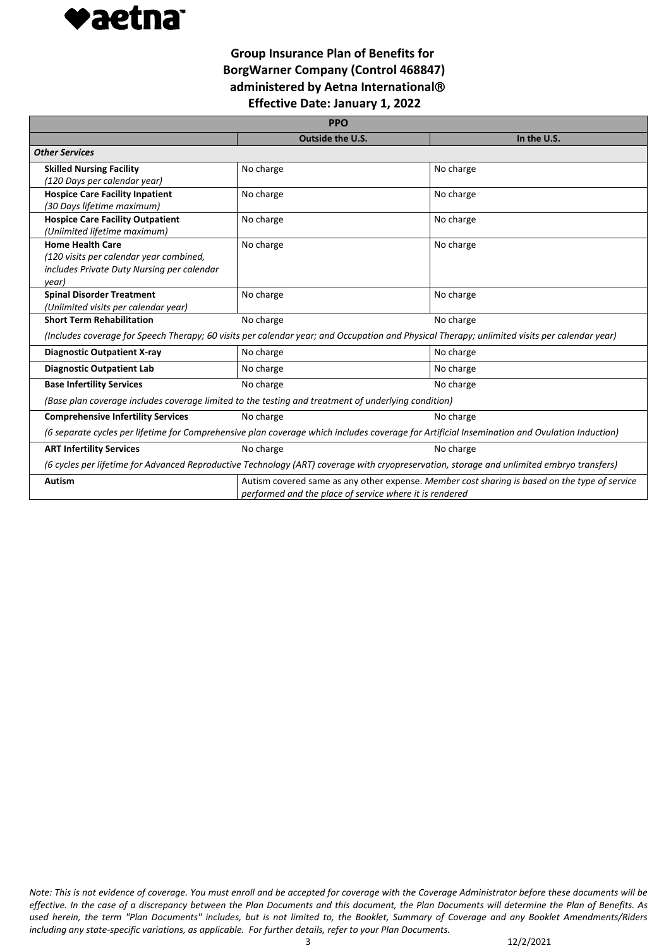

| <b>PPO</b>                                                                                                                                   |                                                                                                                                                          |             |
|----------------------------------------------------------------------------------------------------------------------------------------------|----------------------------------------------------------------------------------------------------------------------------------------------------------|-------------|
|                                                                                                                                              | <b>Outside the U.S.</b>                                                                                                                                  | In the U.S. |
| <b>Other Services</b>                                                                                                                        |                                                                                                                                                          |             |
| <b>Skilled Nursing Facility</b>                                                                                                              | No charge                                                                                                                                                | No charge   |
| (120 Days per calendar year)                                                                                                                 |                                                                                                                                                          |             |
| <b>Hospice Care Facility Inpatient</b>                                                                                                       | No charge                                                                                                                                                | No charge   |
| (30 Days lifetime maximum)                                                                                                                   |                                                                                                                                                          |             |
| <b>Hospice Care Facility Outpatient</b>                                                                                                      | No charge                                                                                                                                                | No charge   |
| (Unlimited lifetime maximum)                                                                                                                 |                                                                                                                                                          |             |
| <b>Home Health Care</b>                                                                                                                      | No charge                                                                                                                                                | No charge   |
| (120 visits per calendar year combined,<br>includes Private Duty Nursing per calendar                                                        |                                                                                                                                                          |             |
| year)                                                                                                                                        |                                                                                                                                                          |             |
| <b>Spinal Disorder Treatment</b>                                                                                                             | No charge                                                                                                                                                | No charge   |
| (Unlimited visits per calendar year)                                                                                                         |                                                                                                                                                          |             |
| <b>Short Term Rehabilitation</b>                                                                                                             | No charge                                                                                                                                                | No charge   |
| (Includes coverage for Speech Therapy; 60 visits per calendar year; and Occupation and Physical Therapy; unlimited visits per calendar year) |                                                                                                                                                          |             |
| <b>Diagnostic Outpatient X-ray</b>                                                                                                           | No charge                                                                                                                                                | No charge   |
| <b>Diagnostic Outpatient Lab</b>                                                                                                             | No charge                                                                                                                                                | No charge   |
| <b>Base Infertility Services</b>                                                                                                             | No charge                                                                                                                                                | No charge   |
| (Base plan coverage includes coverage limited to the testing and treatment of underlying condition)                                          |                                                                                                                                                          |             |
| <b>Comprehensive Infertility Services</b>                                                                                                    | No charge                                                                                                                                                | No charge   |
| (6 separate cycles per lifetime for Comprehensive plan coverage which includes coverage for Artificial Insemination and Ovulation Induction) |                                                                                                                                                          |             |
| <b>ART Infertility Services</b>                                                                                                              | No charge                                                                                                                                                | No charge   |
|                                                                                                                                              | (6 cycles per lifetime for Advanced Reproductive Technology (ART) coverage with cryopreservation, storage and unlimited embryo transfers)                |             |
| <b>Autism</b>                                                                                                                                | Autism covered same as any other expense. Member cost sharing is based on the type of service<br>performed and the place of service where it is rendered |             |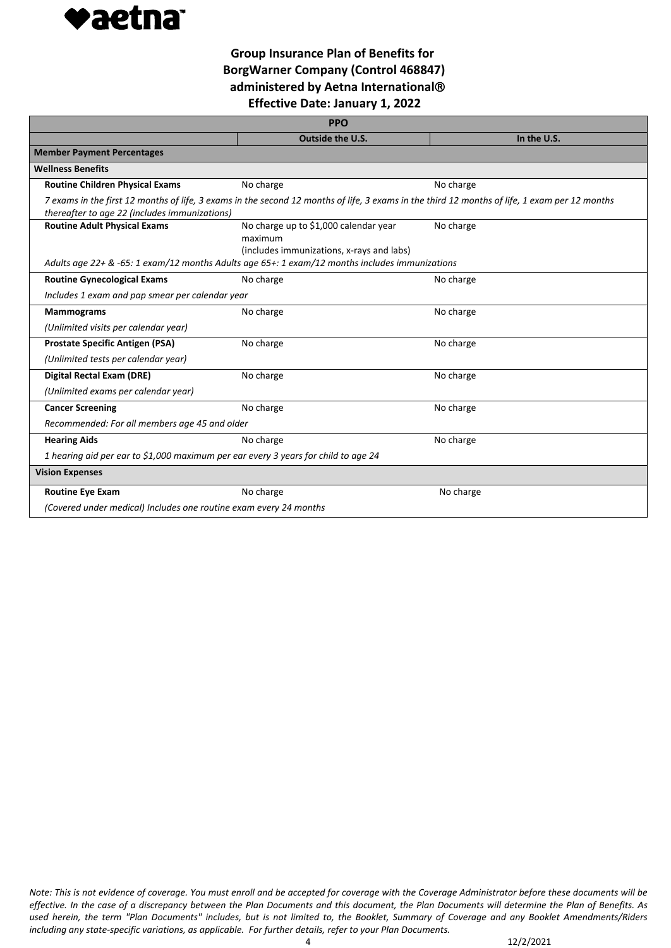

|                                                                                                                                                                                                | <b>PPO</b>                                                                                    |             |
|------------------------------------------------------------------------------------------------------------------------------------------------------------------------------------------------|-----------------------------------------------------------------------------------------------|-------------|
|                                                                                                                                                                                                | <b>Outside the U.S.</b>                                                                       | In the U.S. |
| <b>Member Payment Percentages</b>                                                                                                                                                              |                                                                                               |             |
| <b>Wellness Benefits</b>                                                                                                                                                                       |                                                                                               |             |
| <b>Routine Children Physical Exams</b>                                                                                                                                                         | No charge                                                                                     | No charge   |
| 7 exams in the first 12 months of life, 3 exams in the second 12 months of life, 3 exams in the third 12 months of life, 1 exam per 12 months<br>thereafter to age 22 (includes immunizations) |                                                                                               |             |
| <b>Routine Adult Physical Exams</b>                                                                                                                                                            | No charge up to \$1,000 calendar year<br>maximum<br>(includes immunizations, x-rays and labs) | No charge   |
| Adults age 22+ & -65: 1 exam/12 months Adults age 65+: 1 exam/12 months includes immunizations                                                                                                 |                                                                                               |             |
| <b>Routine Gynecological Exams</b>                                                                                                                                                             | No charge                                                                                     | No charge   |
| Includes 1 exam and pap smear per calendar year                                                                                                                                                |                                                                                               |             |
| <b>Mammograms</b>                                                                                                                                                                              | No charge                                                                                     | No charge   |
| (Unlimited visits per calendar year)                                                                                                                                                           |                                                                                               |             |
| <b>Prostate Specific Antigen (PSA)</b>                                                                                                                                                         | No charge                                                                                     | No charge   |
| (Unlimited tests per calendar year)                                                                                                                                                            |                                                                                               |             |
| <b>Digital Rectal Exam (DRE)</b>                                                                                                                                                               | No charge                                                                                     | No charge   |
| (Unlimited exams per calendar year)                                                                                                                                                            |                                                                                               |             |
| <b>Cancer Screening</b>                                                                                                                                                                        | No charge                                                                                     | No charge   |
| Recommended: For all members age 45 and older                                                                                                                                                  |                                                                                               |             |
| <b>Hearing Aids</b>                                                                                                                                                                            | No charge                                                                                     | No charge   |
| 1 hearing aid per ear to \$1,000 maximum per ear every 3 years for child to age 24                                                                                                             |                                                                                               |             |
| <b>Vision Expenses</b>                                                                                                                                                                         |                                                                                               |             |
| <b>Routine Eye Exam</b>                                                                                                                                                                        | No charge                                                                                     | No charge   |
| (Covered under medical) Includes one routine exam every 24 months                                                                                                                              |                                                                                               |             |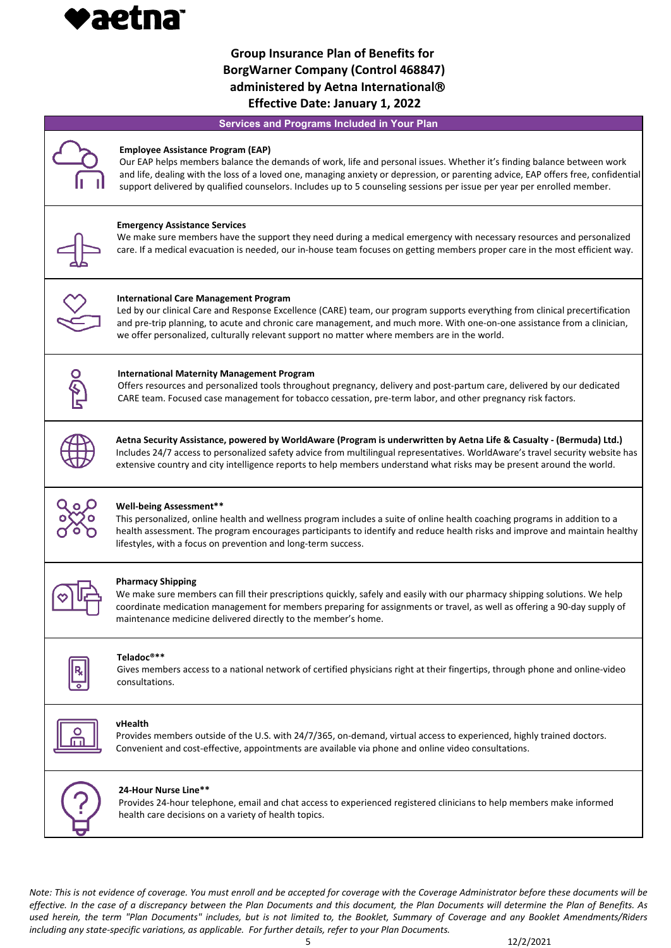

### **Services and Programs Included in Your Plan**

| <b>Employee Assistance Program (EAP)</b><br>Our EAP helps members balance the demands of work, life and personal issues. Whether it's finding balance between work<br>and life, dealing with the loss of a loved one, managing anxiety or depression, or parenting advice, EAP offers free, confidential<br>support delivered by qualified counselors. Includes up to 5 counseling sessions per issue per year per enrolled member. |
|-------------------------------------------------------------------------------------------------------------------------------------------------------------------------------------------------------------------------------------------------------------------------------------------------------------------------------------------------------------------------------------------------------------------------------------|
| <b>Emergency Assistance Services</b><br>We make sure members have the support they need during a medical emergency with necessary resources and personalized<br>care. If a medical evacuation is needed, our in-house team focuses on getting members proper care in the most efficient way.                                                                                                                                        |
| <b>International Care Management Program</b><br>Led by our clinical Care and Response Excellence (CARE) team, our program supports everything from clinical precertification<br>and pre-trip planning, to acute and chronic care management, and much more. With one-on-one assistance from a clinician,<br>we offer personalized, culturally relevant support no matter where members are in the world.                            |
| <b>International Maternity Management Program</b><br>Offers resources and personalized tools throughout pregnancy, delivery and post-partum care, delivered by our dedicated<br>CARE team. Focused case management for tobacco cessation, pre-term labor, and other pregnancy risk factors.                                                                                                                                         |
| Aetna Security Assistance, powered by WorldAware (Program is underwritten by Aetna Life & Casualty - (Bermuda) Ltd.)<br>Includes 24/7 access to personalized safety advice from multilingual representatives. WorldAware's travel security website has<br>extensive country and city intelligence reports to help members understand what risks may be present around the world.                                                    |
| <b>Well-being Assessment**</b><br>This personalized, online health and wellness program includes a suite of online health coaching programs in addition to a<br>health assessment. The program encourages participants to identify and reduce health risks and improve and maintain healthy<br>lifestyles, with a focus on prevention and long-term success.                                                                        |
| <b>Pharmacy Shipping</b><br>We make sure members can fill their prescriptions quickly, safely and easily with our pharmacy shipping solutions. We help<br>coordinate medication management for members preparing for assignments or travel, as well as offering a 90-day supply of<br>maintenance medicine delivered directly to the member's home.                                                                                 |
| Teladoc <sup>®**</sup><br>Gives members access to a national network of certified physicians right at their fingertips, through phone and online-video<br>consultations.                                                                                                                                                                                                                                                            |
| vHealth<br>Provides members outside of the U.S. with 24/7/365, on-demand, virtual access to experienced, highly trained doctors.<br>Convenient and cost-effective, appointments are available via phone and online video consultations.                                                                                                                                                                                             |
| 24-Hour Nurse Line**<br>Provides 24-hour telephone, email and chat access to experienced registered clinicians to help members make informed<br>health care decisions on a variety of health topics.                                                                                                                                                                                                                                |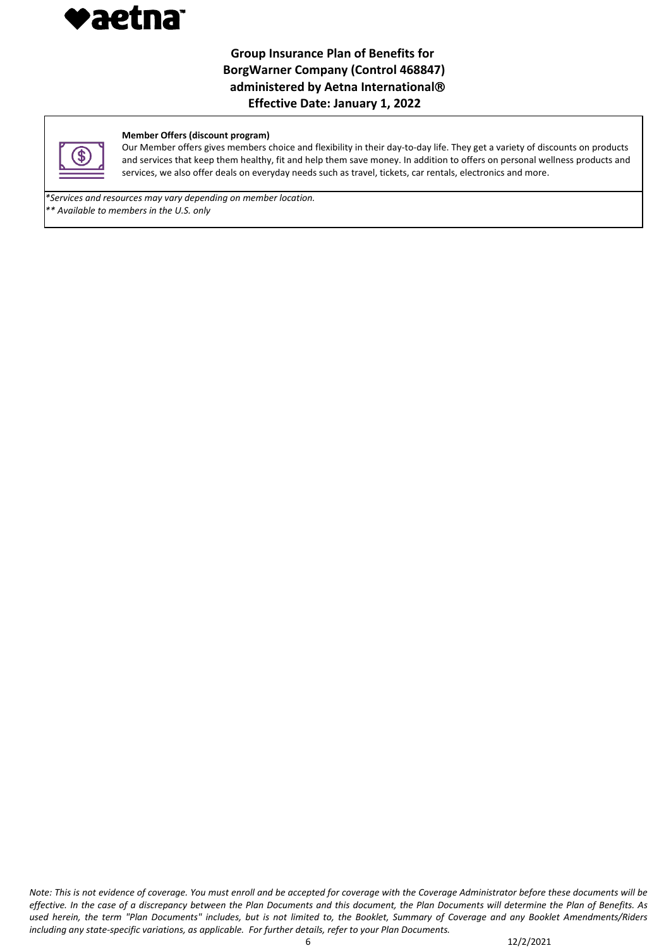



#### **Member Offers (discount program)**

Our Member offers gives members choice and flexibility in their day-to-day life. They get a variety of discounts on products and services that keep them healthy, fit and help them save money. In addition to offers on personal wellness products and services, we also offer deals on everyday needs such as travel, tickets, car rentals, electronics and more.

*\*Services and resources may vary depending on member location. \*\* Available to members in the U.S. only*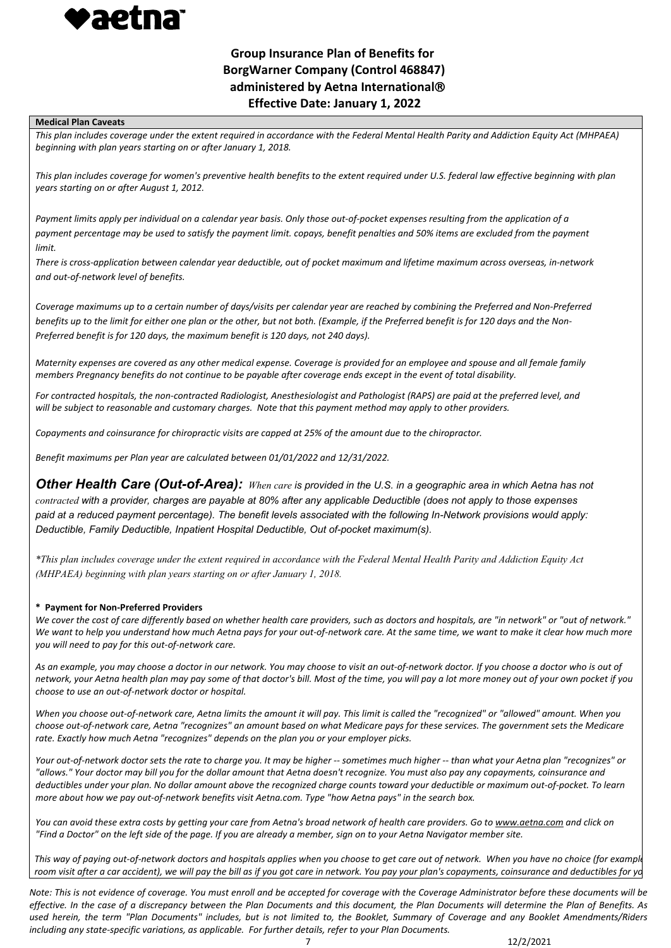

#### **Medical Plan Caveats**

*This plan includes coverage under the extent required in accordance with the Federal Mental Health Parity and Addiction Equity Act (MHPAEA) beginning with plan years starting on or after January 1, 2018.*

*This plan includes coverage for women's preventive health benefits to the extent required under U.S. federal law effective beginning with plan years starting on or after August 1, 2012.*

*Payment limits apply per individual on a calendar year basis. Only those out-of-pocket expenses resulting from the application of a payment percentage may be used to satisfy the payment limit. copays, benefit penalties and 50% items are excluded from the payment limit.*

*There is cross-application between calendar year deductible, out of pocket maximum and lifetime maximum across overseas, in-network and out-of-network level of benefits.*

*Coverage maximums up to a certain number of days/visits per calendar year are reached by combining the Preferred and Non-Preferred benefits up to the limit for either one plan or the other, but not both. (Example, if the Preferred benefit is for 120 days and the Non-Preferred benefit is for 120 days, the maximum benefit is 120 days, not 240 days).*

*Maternity expenses are covered as any other medical expense. Coverage is provided for an employee and spouse and all female family members Pregnancy benefits do not continue to be payable after coverage ends except in the event of total disability.*

*For contracted hospitals, the non-contracted Radiologist, Anesthesiologist and Pathologist (RAPS) are paid at the preferred level, and will be subject to reasonable and customary charges. Note that this payment method may apply to other providers.*

*Copayments and coinsurance for chiropractic visits are capped at 25% of the amount due to the chiropractor.*

*Benefit maximums per Plan year are calculated between 01/01/2022 and 12/31/2022.*

*Other Health Care (Out-of-Area): When care is provided in the U.S. in a geographic area in which Aetna has not contracted with a provider, charges are payable at 80% after any applicable Deductible (does not apply to those expenses*  paid at a reduced payment percentage). The benefit levels associated with the following In-Network provisions would apply: *Deductible, Family Deductible, Inpatient Hospital Deductible, Out of-pocket maximum(s).*

*\*This plan includes coverage under the extent required in accordance with the Federal Mental Health Parity and Addiction Equity Act (MHPAEA) beginning with plan years starting on or after January 1, 2018.*

### **\* Payment for Non-Preferred Providers**

*We cover the cost of care differently based on whether health care providers, such as doctors and hospitals, are "in network" or "out of network."* We want to help you understand how much Aetna pays for your out-of-network care. At the same time, we want to make it clear how much more *you will need to pay for this out-of-network care.*

*As an example, you may choose a doctor in our network. You may choose to visit an out-of-network doctor. If you choose a doctor who is out of network, your Aetna health plan may pay some of that doctor's bill. Most of the time, you will pay a lot more money out of your own pocket if you choose to use an out-of-network doctor or hospital.*

*When you choose out-of-network care, Aetna limits the amount it will pay. This limit is called the "recognized" or "allowed" amount. When you choose out-of-network care, Aetna "recognizes" an amount based on what Medicare pays for these services. The government sets the Medicare rate. Exactly how much Aetna "recognizes" depends on the plan you or your employer picks.*

*Your out-of-network doctor sets the rate to charge you. It may be higher -- sometimes much higher -- than what your Aetna plan "recognizes" or "allows." Your doctor may bill you for the dollar amount that Aetna doesn't recognize. You must also pay any copayments, coinsurance and deductibles under your plan. No dollar amount above the recognized charge counts toward your deductible or maximum out-of-pocket. To learn more about how we pay out-of-network benefits visit Aetna.com. Type "how Aetna pays" in the search box.*

You can avoid these extra costs by getting your care from Aetna's broad network of health care providers. Go to [www.aetna.com](http://www.aetna.com/) and click on *"Find a Doctor" on the left side of the page. If you are already a member, sign on to your Aetna Navigator member site.*

*This way of paying out-of-network doctors and hospitals applies when you choose to get care out of network. When you have no choice (for example room visit after a car accident), we will pay the bill as if you got care in network. You pay your plan's copayments, coinsurance and deductibles for yo*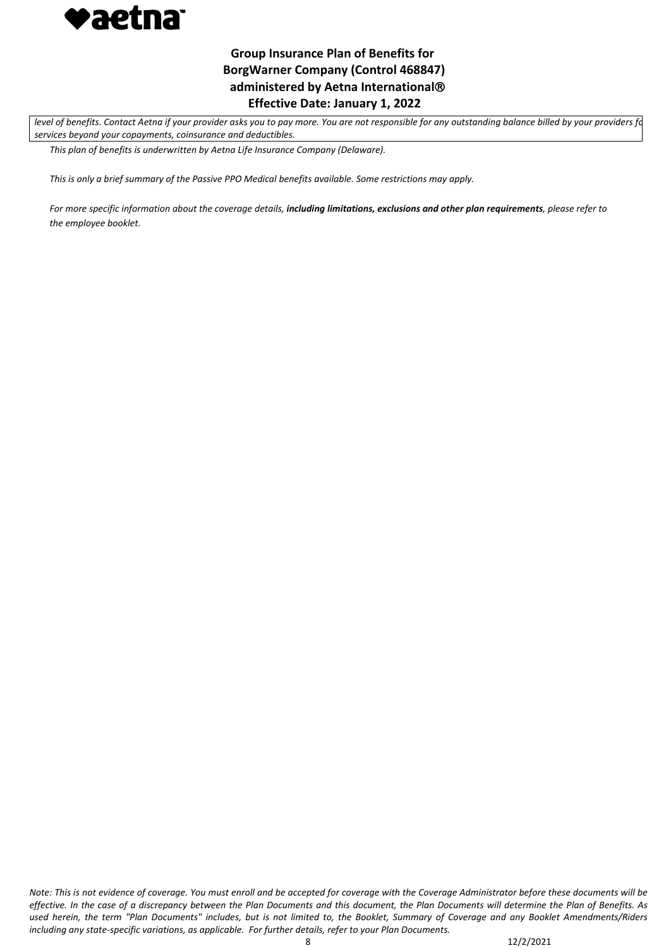

*level of benefits. Contact Aetna if your provider asks you to pay more. You are not responsible for any outstanding balance billed by your providers fo services beyond your copayments, coinsurance and deductibles.*

*This plan of benefits is underwritten by Aetna Life Insurance Company (Delaware).*

*This is only a brief summary of the Passive PPO Medical benefits available. Some restrictions may apply.*

*For more specific information about the coverage details, including limitations, exclusions and other plan requirements, please refer to the employee booklet.*